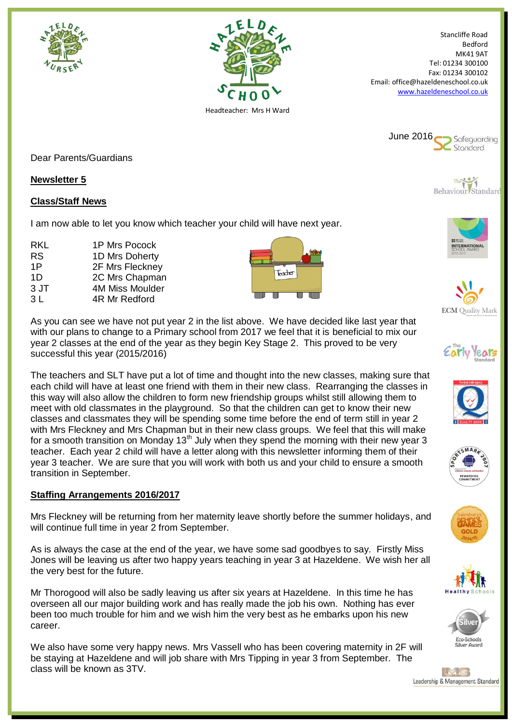



Stancliffe Road Bedford MK41 9AT Tel: 01234 300100 Fax: 01234 300102 Email: office@hazeldeneschool.co.uk [www.hazeldeneschool.co.uk](http://www.hazeldeneschool.co.uk/)



Dear Parents/Guardians

## **Newsletter 5**

## **Class/Staff News**

I am now able to let you know which teacher your child will have next year.

RKL 1P Mrs Pocock RS 1D Mrs Doherty 1P 2F Mrs Fleckney 1D 2C Mrs Chapman 3 JT 4M Miss Moulder 3 L 4R Mr Redford



As you can see we have not put year 2 in the list above. We have decided like last year that with our plans to change to a Primary school from 2017 we feel that it is beneficial to mix our year 2 classes at the end of the year as they begin Key Stage 2. This proved to be very successful this year (2015/2016)

The teachers and SLT have put a lot of time and thought into the new classes, making sure that each child will have at least one friend with them in their new class. Rearranging the classes in this way will also allow the children to form new friendship groups whilst still allowing them to meet with old classmates in the playground. So that the children can get to know their new classes and classmates they will be spending some time before the end of term still in year 2 with Mrs Fleckney and Mrs Chapman but in their new class groups. We feel that this will make for a smooth transition on Monday 13<sup>th</sup> July when they spend the morning with their new year 3 teacher. Each year 2 child will have a letter along with this newsletter informing them of their year 3 teacher. We are sure that you will work with both us and your child to ensure a smooth transition in September.

#### **Staffing Arrangements 2016/2017**

Mrs Fleckney will be returning from her maternity leave shortly before the summer holidays, and will continue full time in year 2 from September.

As is always the case at the end of the year, we have some sad goodbyes to say. Firstly Miss Jones will be leaving us after two happy years teaching in year 3 at Hazeldene. We wish her all the very best for the future.

Mr Thorogood will also be sadly leaving us after six years at Hazeldene. In this time he has overseen all our major building work and has really made the job his own. Nothing has ever been too much trouble for him and we wish him the very best as he embarks upon his new career.

We also have some very happy news. Mrs Vassell who has been covering maternity in 2F will be staying at Hazeldene and will job share with Mrs Tipping in year 3 from September. The class will be known as 3TV.



The Behaviour Standard